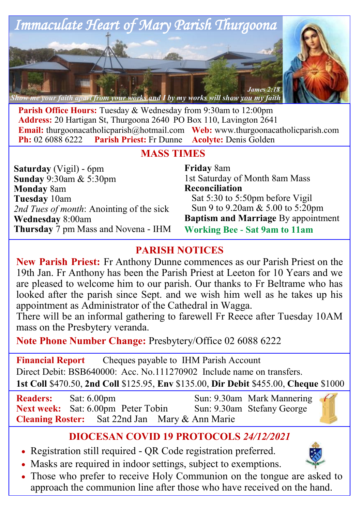

**Parish Office Hours:** Tuesday & Wednesday from 9:30am to 12:00pm **Address:** 20 Hartigan St, Thurgoona 2640 PO Box 110, Lavington 2641 **Email:** thurgoonacatholicparish@hotmail.com Web: www.thurgoonacatholicparish.com<br> **Ph:** 02 6088 6222 Parish Priest: Fr Dunne Acolyte: Denis Golden **Parish Priest: Fr Dunne Acolyte: Denis Golden** 

### **MASS TIMES**

**Saturday** (Vigil) - 6pm **Sunday** 9:30am & 5:30pm **Monday** 8am **Tuesday** 10am *2nd Tues of month*: Anointing of the sick **Wednesday** 8:00am **Thursday** 7 pm Mass and Novena - IHM **Friday** 8am 1st Saturday of Month 8am Mass **Reconciliation**  Sat 5:30 to 5:50pm before Vigil Sun 9 to 9.20am & 5.00 to 5:20pm **Baptism and Marriage** By appointment **Working Bee - Sat 9am to 11am**

## **PARISH NOTICES**

**New Parish Priest:** Fr Anthony Dunne commences as our Parish Priest on the 19th Jan. Fr Anthony has been the Parish Priest at Leeton for 10 Years and we are pleased to welcome him to our parish. Our thanks to Fr Beltrame who has looked after the parish since Sept. and we wish him well as he takes up his appointment as Administrator of the Cathedral in Wagga.

There will be an informal gathering to farewell Fr Reece after Tuesday 10AM mass on the Presbytery veranda.

**Note Phone Number Change:** Presbytery/Office 02 6088 6222

**Financial Report** Cheques payable to IHM Parish Account Direct Debit: BSB640000: Acc. No.111270902 Include name on transfers. **1st Coll** \$470.50, **2nd Coll** \$125.95, **Env** \$135.00, **Dir Debit** \$455.00, **Cheque** \$1000

**Readers:** Sat: 6.00pm Sun: 9.30am Mark Mannering Next week: Sat: 6.00pm Peter Tobin Sun: 9.30am Stefany George Cleaning Roster: Sat 22nd Jan Mary & Ann Marie Sat 22nd Jan Mary & Ann Marie

## **DIOCESAN COVID 19 PROTOCOLS** *24/12/2021*

- Registration still required QR Code registration preferred.
- Masks are required in indoor settings, subject to exemptions.
- Those who prefer to receive Holy Communion on the tongue are asked to approach the communion line after those who have received on the hand.

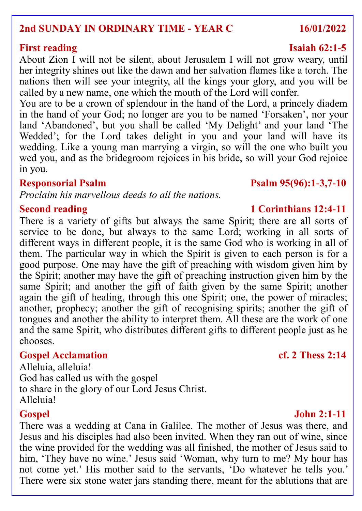## **2nd SUNDAY IN ORDINARY TIME - YEAR C 16/01/2022**

About Zion I will not be silent, about Jerusalem I will not grow weary, until her integrity shines out like the dawn and her salvation flames like a torch. The nations then will see your integrity, all the kings your glory, and you will be called by a new name, one which the mouth of the Lord will confer.

You are to be a crown of splendour in the hand of the Lord, a princely diadem in the hand of your God; no longer are you to be named 'Forsaken', nor your land 'Abandoned', but you shall be called 'My Delight' and your land 'The Wedded'; for the Lord takes delight in you and your land will have its wedding. Like a young man marrying a virgin, so will the one who built you wed you, and as the bridegroom rejoices in his bride, so will your God rejoice in you.

### **Responsorial Psalm Psalm Psalm Psalm** 95(96):1-3,7-10

*Proclaim his marvellous deeds to all the nations.*

There is a variety of gifts but always the same Spirit; there are all sorts of service to be done, but always to the same Lord; working in all sorts of different ways in different people, it is the same God who is working in all of them. The particular way in which the Spirit is given to each person is for a good purpose. One may have the gift of preaching with wisdom given him by the Spirit; another may have the gift of preaching instruction given him by the same Spirit; and another the gift of faith given by the same Spirit; another again the gift of healing, through this one Spirit; one, the power of miracles; another, prophecy; another the gift of recognising spirits; another the gift of tongues and another the ability to interpret them. All these are the work of one and the same Spirit, who distributes different gifts to different people just as he chooses.

### **Gospel Acclamation cf. 2 Thess 2:14**

Alleluia, alleluia! God has called us with the gospel to share in the glory of our Lord Jesus Christ. Alleluia!

There was a wedding at Cana in Galilee. The mother of Jesus was there, and Jesus and his disciples had also been invited. When they ran out of wine, since the wine provided for the wedding was all finished, the mother of Jesus said to him, 'They have no wine.' Jesus said 'Woman, why turn to me? My hour has not come yet.' His mother said to the servants, 'Do whatever he tells you.' There were six stone water jars standing there, meant for the ablutions that are

### **First reading Isaiah 62:1-5**

### **Second reading 1 Corinthians 12:4-11**

### **Gospel John 2:1-11**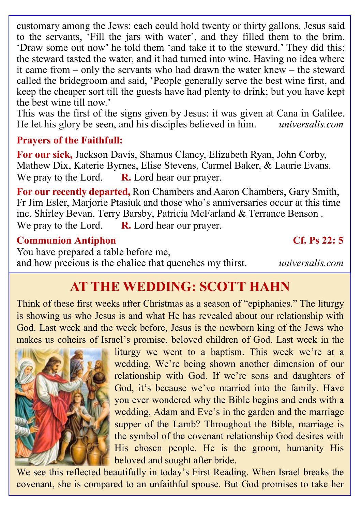customary among the Jews: each could hold twenty or thirty gallons. Jesus said to the servants, 'Fill the jars with water', and they filled them to the brim. 'Draw some out now' he told them 'and take it to the steward.' They did this; the steward tasted the water, and it had turned into wine. Having no idea where it came from – only the servants who had drawn the water knew – the steward called the bridegroom and said, 'People generally serve the best wine first, and keep the cheaper sort till the guests have had plenty to drink; but you have kept the best wine till now.'

This was the first of the signs given by Jesus: it was given at Cana in Galilee. He let his glory be seen, and his disciples believed in him. *universalis.com*

## **Prayers of the Faithfull:**

**For our sick,** Jackson Davis, Shamus Clancy, Elizabeth Ryan, John Corby, Mathew Dix, Katerie Byrnes, Elise Stevens, Carmel Baker, & Laurie Evans. We pray to the Lord. **R.** Lord hear our prayer.

**For our recently departed,** Ron Chambers and Aaron Chambers, Gary Smith, Fr Jim Esler, Marjorie Ptasiuk and those who's anniversaries occur at this time inc. Shirley Bevan, Terry Barsby, Patricia McFarland & Terrance Benson . We pray to the Lord. **R.** Lord hear our prayer.

### **Communion Antiphon Cf. Ps 22: 5**

You have prepared a table before me, and how precious is the chalice that quenches my thirst. *universalis.com*

# **AT THE WEDDING: SCOTT HAHN**

Think of these first weeks after Christmas as a season of "epiphanies." The liturgy is showing us who Jesus is and what He has revealed about our relationship with God. Last week and the week before, Jesus is the newborn king of the Jews who makes us coheirs of Israel's promise, beloved children of God. Last week in the



liturgy we went to a baptism. This week we're at a wedding. We're being shown another dimension of our relationship with God. If we're sons and daughters of God, it's because we've married into the family. Have you ever wondered why the Bible begins and ends with a wedding, Adam and Eve's in the garden and the marriage supper of the Lamb? Throughout the Bible, marriage is the symbol of the covenant relationship God desires with His chosen people. He is the groom, humanity His beloved and sought after bride.

We see this reflected beautifully in today's First Reading. When Israel breaks the covenant, she is compared to an unfaithful spouse. But God promises to take her